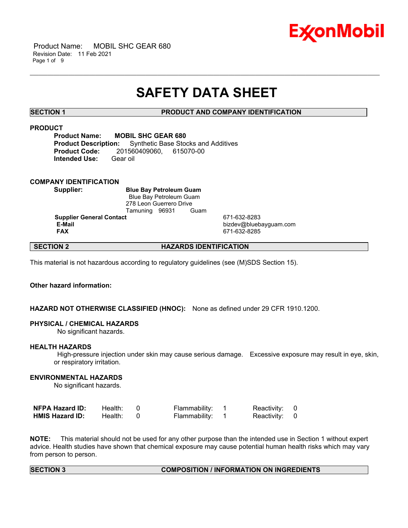

 Product Name: MOBIL SHC GEAR 680 Revision Date: 11 Feb 2021 Page 1 of 9

# **SAFETY DATA SHEET**

\_\_\_\_\_\_\_\_\_\_\_\_\_\_\_\_\_\_\_\_\_\_\_\_\_\_\_\_\_\_\_\_\_\_\_\_\_\_\_\_\_\_\_\_\_\_\_\_\_\_\_\_\_\_\_\_\_\_\_\_\_\_\_\_\_\_\_\_\_\_\_\_\_\_\_\_\_\_\_\_\_\_\_\_\_\_\_\_\_\_\_\_\_\_\_\_\_\_\_\_\_\_\_\_\_\_\_\_\_\_\_\_\_\_\_\_\_\_

# **SECTION 1 PRODUCT AND COMPANY IDENTIFICATION**

# **PRODUCT**

**Product Name: MOBIL SHC GEAR 680 Product Description:** Synthetic Base Stocks and Additives **Product Code:** 201560409060, 615070-00 **Intended Use:** Gear oil

# **COMPANY IDENTIFICATION**

**Supplier: Blue Bay Petroleum Guam** Blue Bay Petroleum Guam 278 Leon Guerrero Drive Tamuning 96931 Guam

**Supplier General Contact** 671-632-8283<br> **E-Mail** bizdev@blueb

 **E-Mail** bizdev@bluebayguam.com  **FAX** 671-632-8285

# **SECTION 2 HAZARDS IDENTIFICATION**

This material is not hazardous according to regulatory guidelines (see (M)SDS Section 15).

# **Other hazard information:**

# **HAZARD NOT OTHERWISE CLASSIFIED (HNOC):** None as defined under 29 CFR 1910.1200.

### **PHYSICAL / CHEMICAL HAZARDS**

No significant hazards.

### **HEALTH HAZARDS**

 High-pressure injection under skin may cause serious damage. Excessive exposure may result in eye, skin, or respiratory irritation.

# **ENVIRONMENTAL HAZARDS**

No significant hazards.

| NFPA Hazard ID:        | Health: | Flammability: | Reactivity: 0 |  |
|------------------------|---------|---------------|---------------|--|
| <b>HMIS Hazard ID:</b> | Health: | Flammability: | Reactivity: 0 |  |

**NOTE:** This material should not be used for any other purpose than the intended use in Section 1 without expert advice. Health studies have shown that chemical exposure may cause potential human health risks which may vary from person to person.

# **SECTION 3 COMPOSITION / INFORMATION ON INGREDIENTS**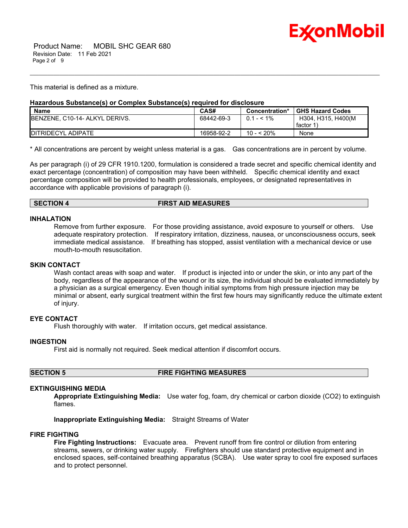

This material is defined as a mixture.

# **Hazardous Substance(s) or Complex Substance(s) required for disclosure**

| <b>Name</b>                            | CAS#       | Concentration* | <b>GHS Hazard Codes</b> |
|----------------------------------------|------------|----------------|-------------------------|
| <b>IBENZENE, C10-14- ALKYL DERIVS.</b> | 68442-69-3 | $0.1 - 5.1\%$  | H304, H315, H400(M)     |
|                                        |            |                | factor 1                |
| <b>IDITRIDECYL ADIPATE</b>             | 16958-92-2 | 10 - < 20%     | None                    |

\_\_\_\_\_\_\_\_\_\_\_\_\_\_\_\_\_\_\_\_\_\_\_\_\_\_\_\_\_\_\_\_\_\_\_\_\_\_\_\_\_\_\_\_\_\_\_\_\_\_\_\_\_\_\_\_\_\_\_\_\_\_\_\_\_\_\_\_\_\_\_\_\_\_\_\_\_\_\_\_\_\_\_\_\_\_\_\_\_\_\_\_\_\_\_\_\_\_\_\_\_\_\_\_\_\_\_\_\_\_\_\_\_\_\_\_\_\_

\* All concentrations are percent by weight unless material is a gas. Gas concentrations are in percent by volume.

As per paragraph (i) of 29 CFR 1910.1200, formulation is considered a trade secret and specific chemical identity and exact percentage (concentration) of composition may have been withheld. Specific chemical identity and exact percentage composition will be provided to health professionals, employees, or designated representatives in accordance with applicable provisions of paragraph (i).

### **SECTION 4 FIRST AID MEASURES**

### **INHALATION**

Remove from further exposure. For those providing assistance, avoid exposure to yourself or others. Use adequate respiratory protection. If respiratory irritation, dizziness, nausea, or unconsciousness occurs, seek immediate medical assistance. If breathing has stopped, assist ventilation with a mechanical device or use mouth-to-mouth resuscitation.

# **SKIN CONTACT**

Wash contact areas with soap and water. If product is injected into or under the skin, or into any part of the body, regardless of the appearance of the wound or its size, the individual should be evaluated immediately by a physician as a surgical emergency. Even though initial symptoms from high pressure injection may be minimal or absent, early surgical treatment within the first few hours may significantly reduce the ultimate extent of injury.

# **EYE CONTACT**

Flush thoroughly with water. If irritation occurs, get medical assistance.

# **INGESTION**

First aid is normally not required. Seek medical attention if discomfort occurs.

**SECTION 5 FIRE FIGHTING MEASURES**

# **EXTINGUISHING MEDIA**

**Appropriate Extinguishing Media:** Use water fog, foam, dry chemical or carbon dioxide (CO2) to extinguish flames.

**Inappropriate Extinguishing Media:** Straight Streams of Water

### **FIRE FIGHTING**

**Fire Fighting Instructions:** Evacuate area. Prevent runoff from fire control or dilution from entering streams, sewers, or drinking water supply. Firefighters should use standard protective equipment and in enclosed spaces, self-contained breathing apparatus (SCBA). Use water spray to cool fire exposed surfaces and to protect personnel.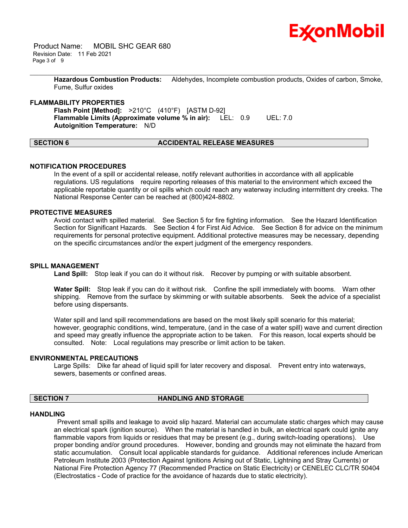

 Product Name: MOBIL SHC GEAR 680 Revision Date: 11 Feb 2021 Page 3 of 9

> **Hazardous Combustion Products:** Aldehydes, Incomplete combustion products, Oxides of carbon, Smoke, Fume, Sulfur oxides

\_\_\_\_\_\_\_\_\_\_\_\_\_\_\_\_\_\_\_\_\_\_\_\_\_\_\_\_\_\_\_\_\_\_\_\_\_\_\_\_\_\_\_\_\_\_\_\_\_\_\_\_\_\_\_\_\_\_\_\_\_\_\_\_\_\_\_\_\_\_\_\_\_\_\_\_\_\_\_\_\_\_\_\_\_\_\_\_\_\_\_\_\_\_\_\_\_\_\_\_\_\_\_\_\_\_\_\_\_\_\_\_\_\_\_\_\_\_

### **FLAMMABILITY PROPERTIES**

**Flash Point [Method]:** >210°C (410°F) [ASTM D-92] **Flammable Limits (Approximate volume % in air):** LEL: 0.9 UEL: 7.0 **Autoignition Temperature:** N/D

# **SECTION 6 ACCIDENTAL RELEASE MEASURES**

### **NOTIFICATION PROCEDURES**

In the event of a spill or accidental release, notify relevant authorities in accordance with all applicable regulations. US regulations require reporting releases of this material to the environment which exceed the applicable reportable quantity or oil spills which could reach any waterway including intermittent dry creeks. The National Response Center can be reached at (800)424-8802.

# **PROTECTIVE MEASURES**

Avoid contact with spilled material. See Section 5 for fire fighting information. See the Hazard Identification Section for Significant Hazards. See Section 4 for First Aid Advice. See Section 8 for advice on the minimum requirements for personal protective equipment. Additional protective measures may be necessary, depending on the specific circumstances and/or the expert judgment of the emergency responders.

### **SPILL MANAGEMENT**

Land Spill: Stop leak if you can do it without risk. Recover by pumping or with suitable absorbent.

**Water Spill:** Stop leak if you can do it without risk. Confine the spill immediately with booms. Warn other shipping. Remove from the surface by skimming or with suitable absorbents. Seek the advice of a specialist before using dispersants.

Water spill and land spill recommendations are based on the most likely spill scenario for this material; however, geographic conditions, wind, temperature, (and in the case of a water spill) wave and current direction and speed may greatly influence the appropriate action to be taken. For this reason, local experts should be consulted. Note: Local regulations may prescribe or limit action to be taken.

### **ENVIRONMENTAL PRECAUTIONS**

Large Spills: Dike far ahead of liquid spill for later recovery and disposal. Prevent entry into waterways, sewers, basements or confined areas.

### **SECTION 7 HANDLING AND STORAGE**

#### **HANDLING**

 Prevent small spills and leakage to avoid slip hazard. Material can accumulate static charges which may cause an electrical spark (ignition source). When the material is handled in bulk, an electrical spark could ignite any flammable vapors from liquids or residues that may be present (e.g., during switch-loading operations). Use proper bonding and/or ground procedures. However, bonding and grounds may not eliminate the hazard from static accumulation. Consult local applicable standards for guidance. Additional references include American Petroleum Institute 2003 (Protection Against Ignitions Arising out of Static, Lightning and Stray Currents) or National Fire Protection Agency 77 (Recommended Practice on Static Electricity) or CENELEC CLC/TR 50404 (Electrostatics - Code of practice for the avoidance of hazards due to static electricity).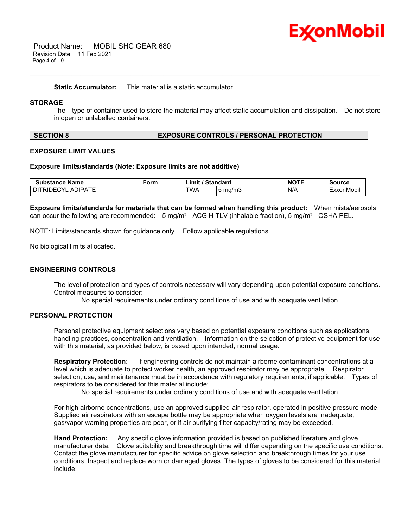

 Product Name: MOBIL SHC GEAR 680 Revision Date: 11 Feb 2021 Page 4 of 9

**Static Accumulator:** This material is a static accumulator.

# **STORAGE**

The type of container used to store the material may affect static accumulation and dissipation. Do not store in open or unlabelled containers.

\_\_\_\_\_\_\_\_\_\_\_\_\_\_\_\_\_\_\_\_\_\_\_\_\_\_\_\_\_\_\_\_\_\_\_\_\_\_\_\_\_\_\_\_\_\_\_\_\_\_\_\_\_\_\_\_\_\_\_\_\_\_\_\_\_\_\_\_\_\_\_\_\_\_\_\_\_\_\_\_\_\_\_\_\_\_\_\_\_\_\_\_\_\_\_\_\_\_\_\_\_\_\_\_\_\_\_\_\_\_\_\_\_\_\_\_\_\_

### **SECTION 8 EXPOSURE CONTROLS / PERSONAL PROTECTION**

#### **EXPOSURE LIMIT VALUES**

#### **Exposure limits/standards (Note: Exposure limits are not additive)**

| <b>Substance Name</b>               | Form | / Standard<br>∟imit ′ |                  | <b>NOTE</b> | <b>Source</b> |
|-------------------------------------|------|-----------------------|------------------|-------------|---------------|
| <b>ADIPATE</b><br><b>DITRIDECYL</b> |      | <b>TWA</b>            | $5 \text{ ma/m}$ | N/A         | ExxonMobil    |

**Exposure limits/standards for materials that can be formed when handling this product:** When mists/aerosols can occur the following are recommended:  $5 \text{ mg/m}^3$  - ACGIH TLV (inhalable fraction),  $5 \text{ mg/m}^3$  - OSHA PEL.

NOTE: Limits/standards shown for guidance only. Follow applicable regulations.

No biological limits allocated.

### **ENGINEERING CONTROLS**

The level of protection and types of controls necessary will vary depending upon potential exposure conditions. Control measures to consider:

No special requirements under ordinary conditions of use and with adequate ventilation.

# **PERSONAL PROTECTION**

Personal protective equipment selections vary based on potential exposure conditions such as applications, handling practices, concentration and ventilation. Information on the selection of protective equipment for use with this material, as provided below, is based upon intended, normal usage.

**Respiratory Protection:** If engineering controls do not maintain airborne contaminant concentrations at a level which is adequate to protect worker health, an approved respirator may be appropriate. Respirator selection, use, and maintenance must be in accordance with regulatory requirements, if applicable. Types of respirators to be considered for this material include:

No special requirements under ordinary conditions of use and with adequate ventilation.

For high airborne concentrations, use an approved supplied-air respirator, operated in positive pressure mode. Supplied air respirators with an escape bottle may be appropriate when oxygen levels are inadequate, gas/vapor warning properties are poor, or if air purifying filter capacity/rating may be exceeded.

**Hand Protection:** Any specific glove information provided is based on published literature and glove manufacturer data. Glove suitability and breakthrough time will differ depending on the specific use conditions. Contact the glove manufacturer for specific advice on glove selection and breakthrough times for your use conditions. Inspect and replace worn or damaged gloves. The types of gloves to be considered for this material include: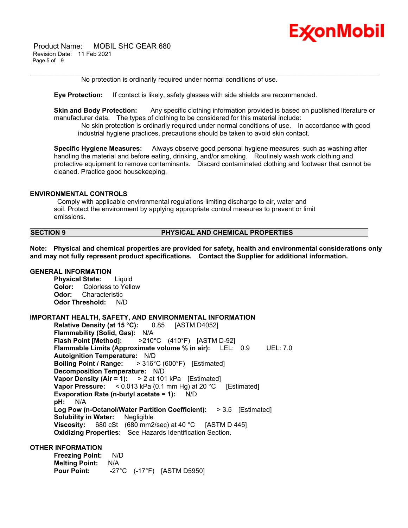

 Product Name: MOBIL SHC GEAR 680 Revision Date: 11 Feb 2021 Page 5 of 9

No protection is ordinarily required under normal conditions of use.

**Eye Protection:** If contact is likely, safety glasses with side shields are recommended.

**Skin and Body Protection:** Any specific clothing information provided is based on published literature or manufacturer data. The types of clothing to be considered for this material include:

\_\_\_\_\_\_\_\_\_\_\_\_\_\_\_\_\_\_\_\_\_\_\_\_\_\_\_\_\_\_\_\_\_\_\_\_\_\_\_\_\_\_\_\_\_\_\_\_\_\_\_\_\_\_\_\_\_\_\_\_\_\_\_\_\_\_\_\_\_\_\_\_\_\_\_\_\_\_\_\_\_\_\_\_\_\_\_\_\_\_\_\_\_\_\_\_\_\_\_\_\_\_\_\_\_\_\_\_\_\_\_\_\_\_\_\_\_\_

 No skin protection is ordinarily required under normal conditions of use. In accordance with good industrial hygiene practices, precautions should be taken to avoid skin contact.

**Specific Hygiene Measures:** Always observe good personal hygiene measures, such as washing after handling the material and before eating, drinking, and/or smoking. Routinely wash work clothing and protective equipment to remove contaminants. Discard contaminated clothing and footwear that cannot be cleaned. Practice good housekeeping.

### **ENVIRONMENTAL CONTROLS**

 Comply with applicable environmental regulations limiting discharge to air, water and soil. Protect the environment by applying appropriate control measures to prevent or limit emissions.

### **SECTION 9 PHYSICAL AND CHEMICAL PROPERTIES**

**Note: Physical and chemical properties are provided for safety, health and environmental considerations only and may not fully represent product specifications. Contact the Supplier for additional information.**

# **GENERAL INFORMATION**

**Physical State:** Liquid **Color:** Colorless to Yellow **Odor:** Characteristic **Odor Threshold:** N/D

### **IMPORTANT HEALTH, SAFETY, AND ENVIRONMENTAL INFORMATION**

**Relative Density (at 15 °C):** 0.85 [ASTM D4052] **Flammability (Solid, Gas):** N/A **Flash Point [Method]:** >210°C (410°F) [ASTM D-92] **Flammable Limits (Approximate volume % in air):** LEL: 0.9 UEL: 7.0 **Autoignition Temperature:** N/D **Boiling Point / Range:** > 316°C (600°F) [Estimated] **Decomposition Temperature:** N/D **Vapor Density (Air = 1):** > 2 at 101 kPa [Estimated] **Vapor Pressure:** < 0.013 kPa (0.1 mm Hg) at 20 °C [Estimated] **Evaporation Rate (n-butyl acetate = 1):** N/D **pH:** N/A **Log Pow (n-Octanol/Water Partition Coefficient):** > 3.5 [Estimated] **Solubility in Water:** Negligible **Viscosity:** 680 cSt (680 mm2/sec) at 40 °C [ASTM D 445] **Oxidizing Properties:** See Hazards Identification Section.

### **OTHER INFORMATION**

**Freezing Point:** N/D **Melting Point:** N/A **Pour Point:** -27°C (-17°F) [ASTM D5950]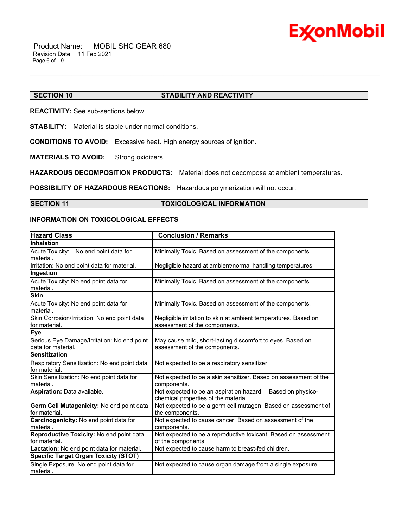

# **SECTION 10 STABILITY AND REACTIVITY**

**REACTIVITY:** See sub-sections below.

**STABILITY:** Material is stable under normal conditions.

**CONDITIONS TO AVOID:** Excessive heat. High energy sources of ignition.

**MATERIALS TO AVOID:** Strong oxidizers

**HAZARDOUS DECOMPOSITION PRODUCTS:** Material does not decompose at ambient temperatures.

**POSSIBILITY OF HAZARDOUS REACTIONS:** Hazardous polymerization will not occur.

# **SECTION 11 TOXICOLOGICAL INFORMATION**

\_\_\_\_\_\_\_\_\_\_\_\_\_\_\_\_\_\_\_\_\_\_\_\_\_\_\_\_\_\_\_\_\_\_\_\_\_\_\_\_\_\_\_\_\_\_\_\_\_\_\_\_\_\_\_\_\_\_\_\_\_\_\_\_\_\_\_\_\_\_\_\_\_\_\_\_\_\_\_\_\_\_\_\_\_\_\_\_\_\_\_\_\_\_\_\_\_\_\_\_\_\_\_\_\_\_\_\_\_\_\_\_\_\_\_\_\_\_

# **INFORMATION ON TOXICOLOGICAL EFFECTS**

| <b>Hazard Class</b>                                               | <b>Conclusion / Remarks</b>                                                                        |
|-------------------------------------------------------------------|----------------------------------------------------------------------------------------------------|
| <b>Inhalation</b>                                                 |                                                                                                    |
| Acute Toxicity: No end point data for<br>lmaterial.               | Minimally Toxic. Based on assessment of the components.                                            |
| Irritation: No end point data for material.                       | Negligible hazard at ambient/normal handling temperatures.                                         |
| Ingestion                                                         |                                                                                                    |
| Acute Toxicity: No end point data for<br>material.                | Minimally Toxic. Based on assessment of the components.                                            |
| <b>Skin</b>                                                       |                                                                                                    |
| Acute Toxicity: No end point data for<br>lmaterial.               | Minimally Toxic. Based on assessment of the components.                                            |
| Skin Corrosion/Irritation: No end point data<br>lfor material.    | Negligible irritation to skin at ambient temperatures. Based on<br>assessment of the components.   |
| Eye                                                               |                                                                                                    |
| Serious Eye Damage/Irritation: No end point<br>data for material. | May cause mild, short-lasting discomfort to eyes. Based on<br>assessment of the components.        |
| <b>Sensitization</b>                                              |                                                                                                    |
| Respiratory Sensitization: No end point data<br>for material.     | Not expected to be a respiratory sensitizer.                                                       |
| Skin Sensitization: No end point data for<br>Imaterial.           | Not expected to be a skin sensitizer. Based on assessment of the<br>components.                    |
| <b>Aspiration: Data available.</b>                                | Not expected to be an aspiration hazard. Based on physico-<br>chemical properties of the material. |
| Germ Cell Mutagenicity: No end point data<br>for material.        | Not expected to be a germ cell mutagen. Based on assessment of<br>the components.                  |
| Carcinogenicity: No end point data for<br>material.               | Not expected to cause cancer. Based on assessment of the<br>components.                            |
| Reproductive Toxicity: No end point data<br>lfor material.        | Not expected to be a reproductive toxicant. Based on assessment<br>of the components.              |
| Lactation: No end point data for material.                        | Not expected to cause harm to breast-fed children.                                                 |
| <b>Specific Target Organ Toxicity (STOT)</b>                      |                                                                                                    |
| Single Exposure: No end point data for<br>material.               | Not expected to cause organ damage from a single exposure.                                         |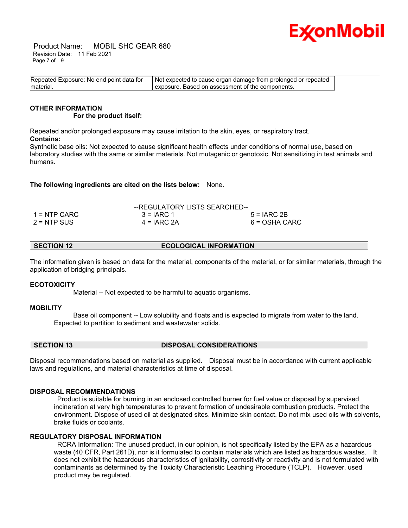

 Product Name: MOBIL SHC GEAR 680 Revision Date: 11 Feb 2021 Page 7 of 9

| Repeated Exposure: No end point data for | Not expected to cause organ damage from prolonged or repeated |  |
|------------------------------------------|---------------------------------------------------------------|--|
| material.                                | exposure. Based on assessment of the components.              |  |

#### **OTHER INFORMATION For the product itself:**

Repeated and/or prolonged exposure may cause irritation to the skin, eyes, or respiratory tract. **Contains:**

Synthetic base oils: Not expected to cause significant health effects under conditions of normal use, based on laboratory studies with the same or similar materials. Not mutagenic or genotoxic. Not sensitizing in test animals and humans.

**The following ingredients are cited on the lists below:** None.

|               | --REGULATORY LISTS SEARCHED-- |               |
|---------------|-------------------------------|---------------|
| 1 = NTP CARC  | $3 = IARC 1$                  | $5 = IARC2B$  |
| $2 = NTP$ SUS | $4 = IARC 2A$                 | 6 = OSHA CARC |

**SECTION 12 ECOLOGICAL INFORMATION** 

The information given is based on data for the material, components of the material, or for similar materials, through the application of bridging principals.

# **ECOTOXICITY**

Material -- Not expected to be harmful to aquatic organisms.

# **MOBILITY**

 Base oil component -- Low solubility and floats and is expected to migrate from water to the land. Expected to partition to sediment and wastewater solids.

**SECTION 13 DISPOSAL CONSIDERATIONS** 

Disposal recommendations based on material as supplied. Disposal must be in accordance with current applicable laws and regulations, and material characteristics at time of disposal.

# **DISPOSAL RECOMMENDATIONS**

 Product is suitable for burning in an enclosed controlled burner for fuel value or disposal by supervised incineration at very high temperatures to prevent formation of undesirable combustion products. Protect the environment. Dispose of used oil at designated sites. Minimize skin contact. Do not mix used oils with solvents, brake fluids or coolants.

# **REGULATORY DISPOSAL INFORMATION**

 RCRA Information: The unused product, in our opinion, is not specifically listed by the EPA as a hazardous waste (40 CFR, Part 261D), nor is it formulated to contain materials which are listed as hazardous wastes. It does not exhibit the hazardous characteristics of ignitability, corrositivity or reactivity and is not formulated with contaminants as determined by the Toxicity Characteristic Leaching Procedure (TCLP). However, used product may be regulated.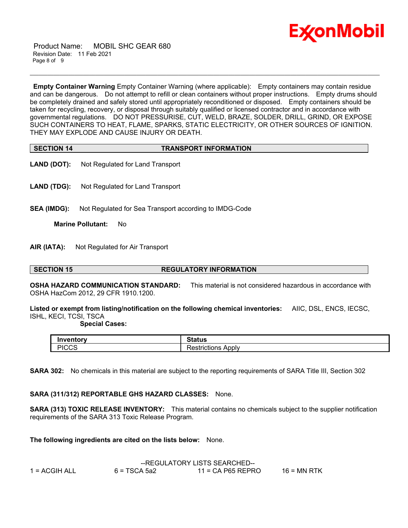

 Product Name: MOBIL SHC GEAR 680 Revision Date: 11 Feb 2021 Page 8 of 9

**Empty Container Warning** Empty Container Warning (where applicable): Empty containers may contain residue and can be dangerous. Do not attempt to refill or clean containers without proper instructions. Empty drums should be completely drained and safely stored until appropriately reconditioned or disposed. Empty containers should be taken for recycling, recovery, or disposal through suitably qualified or licensed contractor and in accordance with governmental regulations. DO NOT PRESSURISE, CUT, WELD, BRAZE, SOLDER, DRILL, GRIND, OR EXPOSE SUCH CONTAINERS TO HEAT, FLAME, SPARKS, STATIC ELECTRICITY, OR OTHER SOURCES OF IGNITION. THEY MAY EXPLODE AND CAUSE INJURY OR DEATH.

\_\_\_\_\_\_\_\_\_\_\_\_\_\_\_\_\_\_\_\_\_\_\_\_\_\_\_\_\_\_\_\_\_\_\_\_\_\_\_\_\_\_\_\_\_\_\_\_\_\_\_\_\_\_\_\_\_\_\_\_\_\_\_\_\_\_\_\_\_\_\_\_\_\_\_\_\_\_\_\_\_\_\_\_\_\_\_\_\_\_\_\_\_\_\_\_\_\_\_\_\_\_\_\_\_\_\_\_\_\_\_\_\_\_\_\_\_\_

| <b>SECTION 14</b> | <b>TRANSPORT INFORMATION</b> |
|-------------------|------------------------------|

- **LAND (DOT):** Not Regulated for Land Transport
- **LAND (TDG):** Not Regulated for Land Transport
- **SEA (IMDG):** Not Regulated for Sea Transport according to IMDG-Code

**Marine Pollutant:** No

**AIR (IATA):** Not Regulated for Air Transport

### **SECTION 15 REGULATORY INFORMATION**

**OSHA HAZARD COMMUNICATION STANDARD:** This material is not considered hazardous in accordance with OSHA HazCom 2012, 29 CFR 1910.1200.

**Listed or exempt from listing/notification on the following chemical inventories:** AIIC, DSL, ENCS, IECSC, ISHL, KECI, TCSI, TSCA

### **Special Cases:**

| Inventorv<br>rv | Status                                |
|-----------------|---------------------------------------|
| DICCO<br>יוטטט. | -<br>Apply<br>.ctrictions<br>rictions |

**SARA 302:** No chemicals in this material are subject to the reporting requirements of SARA Title III, Section 302

# **SARA (311/312) REPORTABLE GHS HAZARD CLASSES:** None.

**SARA (313) TOXIC RELEASE INVENTORY:** This material contains no chemicals subject to the supplier notification requirements of the SARA 313 Toxic Release Program.

**The following ingredients are cited on the lists below:** None.

|               | --REGULATORY LISTS SEARCHED-- |                     |               |
|---------------|-------------------------------|---------------------|---------------|
| 1 = ACGIH ALL | $6 = TSCA 5a2$                | $11$ = CA P65 REPRO | $16$ = MN RTK |